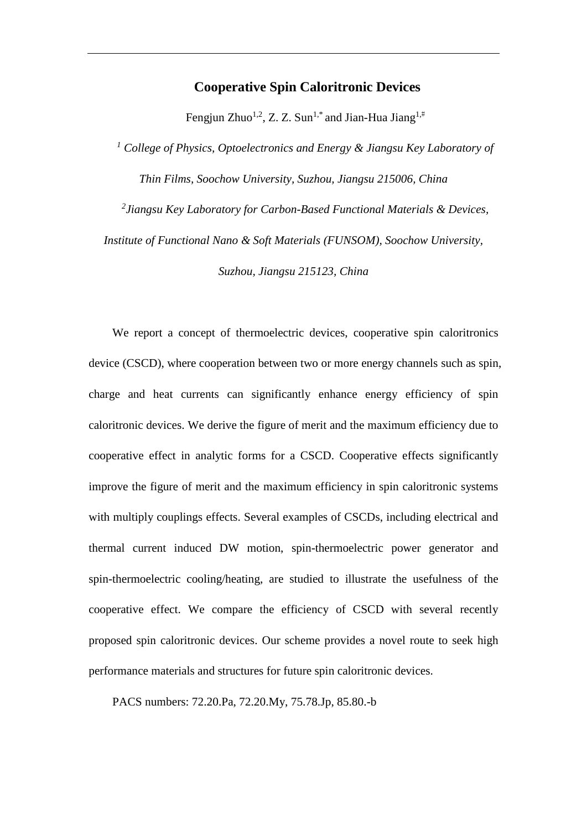## **Cooperative Spin Caloritronic Devices**

Fengjun Zhuo<sup>1,2</sup>, Z. Z. Sun<sup>1,\*</sup> and Jian-Hua Jiang<sup>1,#</sup>

*<sup>1</sup> College of Physics, Optoelectronics and Energy & Jiangsu Key Laboratory of Thin Films, Soochow University, Suzhou, Jiangsu 215006, China*

*2 Jiangsu Key Laboratory for Carbon-Based Functional Materials & Devices, Institute of Functional Nano & Soft Materials (FUNSOM), Soochow University,* 

*Suzhou, Jiangsu 215123, China*

We report a concept of thermoelectric devices, cooperative spin caloritronics device (CSCD), where cooperation between two or more energy channels such as spin, charge and heat currents can significantly enhance energy efficiency of spin caloritronic devices. We derive the figure of merit and the maximum efficiency due to cooperative effect in analytic forms for a CSCD. Cooperative effects significantly improve the figure of merit and the maximum efficiency in spin caloritronic systems with multiply couplings effects. Several examples of CSCDs, including electrical and thermal current induced DW motion, spin-thermoelectric power generator and spin-thermoelectric cooling/heating, are studied to illustrate the usefulness of the cooperative effect. We compare the efficiency of CSCD with several recently proposed spin caloritronic devices. Our scheme provides a novel route to seek high performance materials and structures for future spin caloritronic devices.

PACS numbers: 72.20.Pa, 72.20.My, 75.78.Jp, 85.80.-b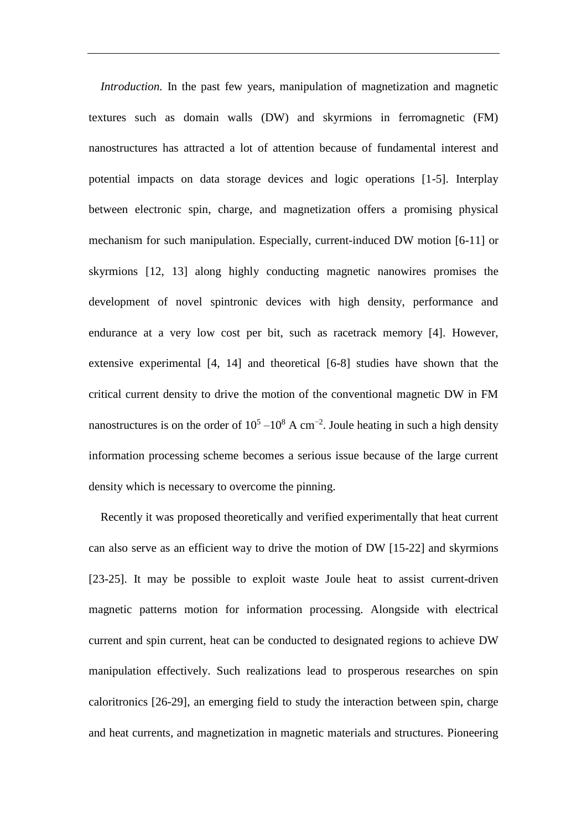*Introduction.* In the past few years, manipulation of magnetization and magnetic textures such as domain walls (DW) and skyrmions in ferromagnetic (FM) nanostructures has attracted a lot of attention because of fundamental interest and potential impacts on data storage devices and logic operations [1-5]. Interplay between electronic spin, charge, and magnetization offers a promising physical mechanism for such manipulation. Especially, current-induced DW motion [6-11] or skyrmions [12, 13] along highly conducting magnetic nanowires promises the development of novel spintronic devices with high density, performance and endurance at a very low cost per bit, such as racetrack memory [4]. However, extensive experimental [4, 14] and theoretical [6-8] studies have shown that the critical current density to drive the motion of the conventional magnetic DW in FM nanostructures is on the order of  $10^5 - 10^8$  A cm<sup>-2</sup>. Joule heating in such a high density information processing scheme becomes a serious issue because of the large current density which is necessary to overcome the pinning.

Recently it was proposed theoretically and verified experimentally that heat current can also serve as an efficient way to drive the motion of DW [15-22] and skyrmions [23-25]. It may be possible to exploit waste Joule heat to assist current-driven magnetic patterns motion for information processing. Alongside with electrical current and spin current, heat can be conducted to designated regions to achieve DW manipulation effectively. Such realizations lead to prosperous researches on spin caloritronics [26-29], an emerging field to study the interaction between spin, charge and heat currents, and magnetization in magnetic materials and structures. Pioneering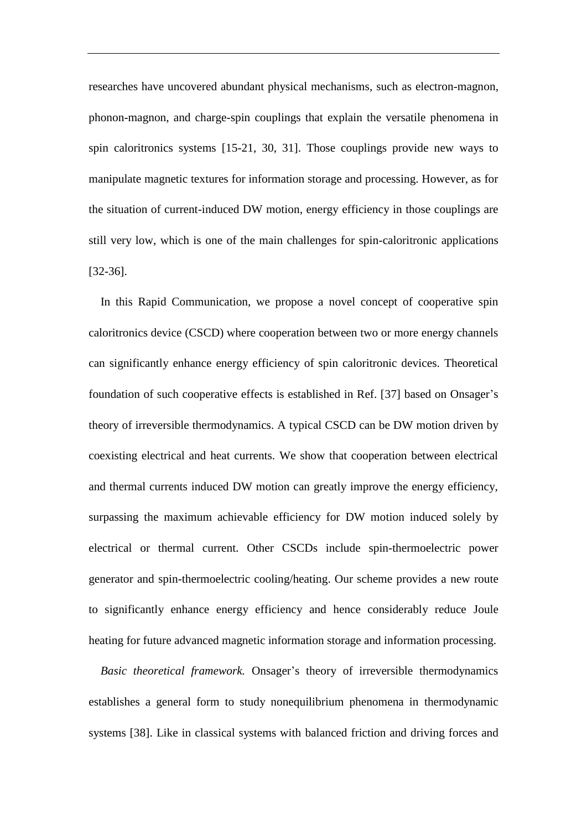researches have uncovered abundant physical mechanisms, such as electron-magnon, phonon-magnon, and charge-spin couplings that explain the versatile phenomena in spin caloritronics systems [15-21, 30, 31]. Those couplings provide new ways to manipulate magnetic textures for information storage and processing. However, as for the situation of current-induced DW motion, energy efficiency in those couplings are still very low, which is one of the main challenges for spin-caloritronic applications [32-36].

In this Rapid Communication, we propose a novel concept of cooperative spin caloritronics device (CSCD) where cooperation between two or more energy channels can significantly enhance energy efficiency of spin caloritronic devices. Theoretical foundation of such cooperative effects is established in Ref. [37] based on Onsager's theory of irreversible thermodynamics. A typical CSCD can be DW motion driven by coexisting electrical and heat currents. We show that cooperation between electrical and thermal currents induced DW motion can greatly improve the energy efficiency, surpassing the maximum achievable efficiency for DW motion induced solely by electrical or thermal current. Other CSCDs include spin-thermoelectric power generator and spin-thermoelectric cooling/heating. Our scheme provides a new route to significantly enhance energy efficiency and hence considerably reduce Joule heating for future advanced magnetic information storage and information processing.

*Basic theoretical framework.* Onsager's theory of irreversible thermodynamics establishes a general form to study nonequilibrium phenomena in thermodynamic systems [38]. Like in classical systems with balanced friction and driving forces and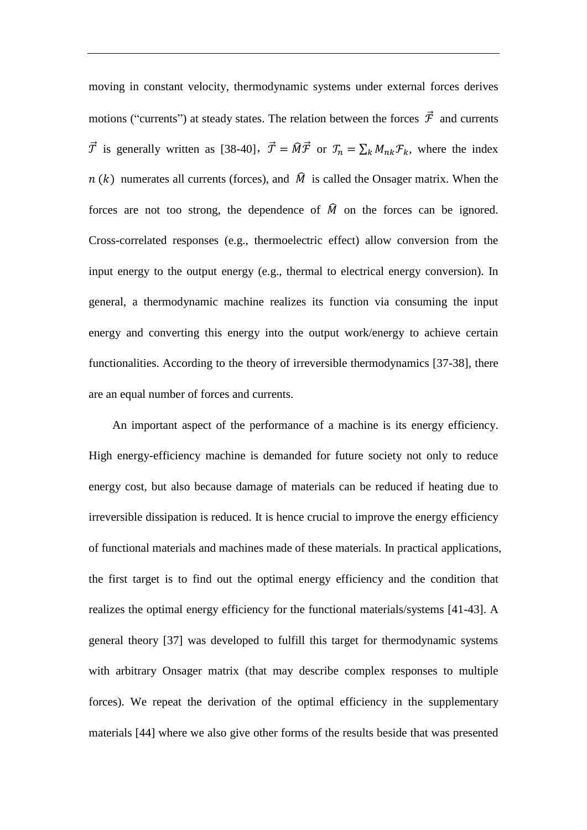moving in constant velocity, thermodynamic systems under external forces derives motions ("currents") at steady states. The relation between the forces  $\vec{\mathcal{F}}$  and currents  $\vec{\mathcal{T}}$  is generally written as [38-40],  $\vec{\mathcal{T}} = \hat{M}\vec{\mathcal{T}}$  or  $\mathcal{T}_n = \sum_k M_{nk} \mathcal{F}_k$ , where the index  $n(k)$  numerates all currents (forces), and  $\hat{M}$  is called the Onsager matrix. When the forces are not too strong, the dependence of  $\hat{M}$  on the forces can be ignored. Cross-correlated responses (e.g., thermoelectric effect) allow conversion from the input energy to the output energy (e.g., thermal to electrical energy conversion). In general, a thermodynamic machine realizes its function via consuming the input energy and converting this energy into the output work/energy to achieve certain functionalities. According to the theory of irreversible thermodynamics [37-38], there are an equal number of forces and currents.

An important aspect of the performance of a machine is its energy efficiency. High energy-efficiency machine is demanded for future society not only to reduce energy cost, but also because damage of materials can be reduced if heating due to irreversible dissipation is reduced. It is hence crucial to improve the energy efficiency of functional materials and machines made of these materials. In practical applications, the first target is to find out the optimal energy efficiency and the condition that realizes the optimal energy efficiency for the functional materials/systems [41-43]. A general theory [37] was developed to fulfill this target for thermodynamic systems with arbitrary Onsager matrix (that may describe complex responses to multiple forces). We repeat the derivation of the optimal efficiency in the supplementary materials [44] where we also give other forms of the results beside that was presented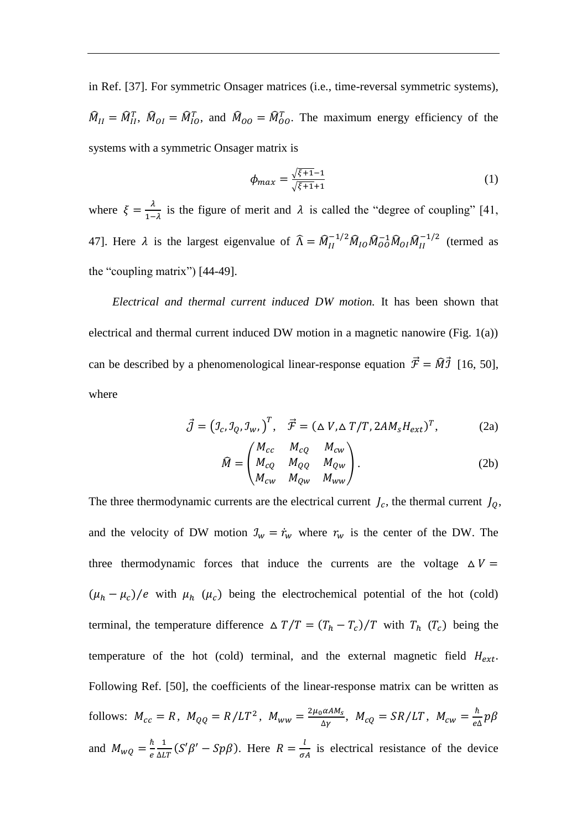in Ref. [37]. For symmetric Onsager matrices (i.e., time-reversal symmetric systems),  $\hat{M}_{II} = \hat{M}_{II}^T$ ,  $\hat{M}_{OI} = \hat{M}_{IO}^T$ , and  $\hat{M}_{OO} = \hat{M}_{OO}^T$ . The maximum energy efficiency of the systems with a symmetric Onsager matrix is

$$
\phi_{max} = \frac{\sqrt{\xi+1}-1}{\sqrt{\xi+1}+1} \tag{1}
$$

where  $\xi = \frac{\lambda}{4}$  $\frac{\lambda}{1-\lambda}$  is the figure of merit and  $\lambda$  is called the "degree of coupling" [41, 47]. Here  $\lambda$  is the largest eigenvalue of  $\hat{\Lambda} = \hat{M}_{II}^{-1/2} \hat{M}_{IO} \hat{M}_{OO}^{-1} \hat{M}_{OI} \hat{M}_{II}^{-1}$  $\frac{-1}{u}$  (termed as the "coupling matrix") [44-49].

*Electrical and thermal current induced DW motion.* It has been shown that electrical and thermal current induced DW motion in a magnetic nanowire (Fig. 1(a)) can be described by a phenomenological linear-response equation  $\vec{\mathcal{F}} = \hat{M} \vec{\mathcal{I}}$  [16, 50], where

$$
\vec{J} = (J_c, J_q, J_w, )^T, \quad \vec{\mathcal{F}} = (\Delta V, \Delta T/T, 2AM_s H_{ext})^T,
$$
(2a)

$$
\widehat{M} = \begin{pmatrix} M_{cc} & M_{cQ} & M_{cw} \\ M_{cQ} & M_{QQ} & M_{Qw} \\ M_{cw} & M_{Qw} & M_{ww} \end{pmatrix}.
$$
\n(2b)

The three thermodynamic currents are the electrical current  $J_c$ , the thermal current  $J_Q$ , and the velocity of DW motion  $\mathcal{I}_w = \dot{r}_w$  where  $r_w$  is the center of the DW. The three thermodynamic forces that induce the currents are the voltage  $\Delta V =$  $(\mu_h - \mu_c)/e$  with  $\mu_h$  ( $\mu_c$ ) being the electrochemical potential of the hot (cold) terminal, the temperature difference  $\Delta T/T = (T_h - T_c)/T$  with  $T_h$  ( $T_c$ ) being the temperature of the hot (cold) terminal, and the external magnetic field  $H_{ext}$ . Following Ref. [50], the coefficients of the linear-response matrix can be written as follows:  $M_{cc} = R$ ,  $M_{QQ} = R/LT^2$ ,  $M_{ww} = \frac{2\mu_0 \alpha A M_S}{\Delta Y}$  $\frac{\partial a^{AM_S}}{\partial y}$ ,  $M_{cQ} = SR/LT$ ,  $M_{cw} = \frac{\hbar}{el}$  $\frac{n}{e\Delta}p\beta$ and  $M_{wQ} = \frac{\hbar}{e}$ e 1  $\frac{1}{\Delta LT}(S'\beta' - Sp\beta)$ . Here  $R = \frac{l}{\sigma}$ .  $\frac{1}{\sigma A}$  is electrical resistance of the device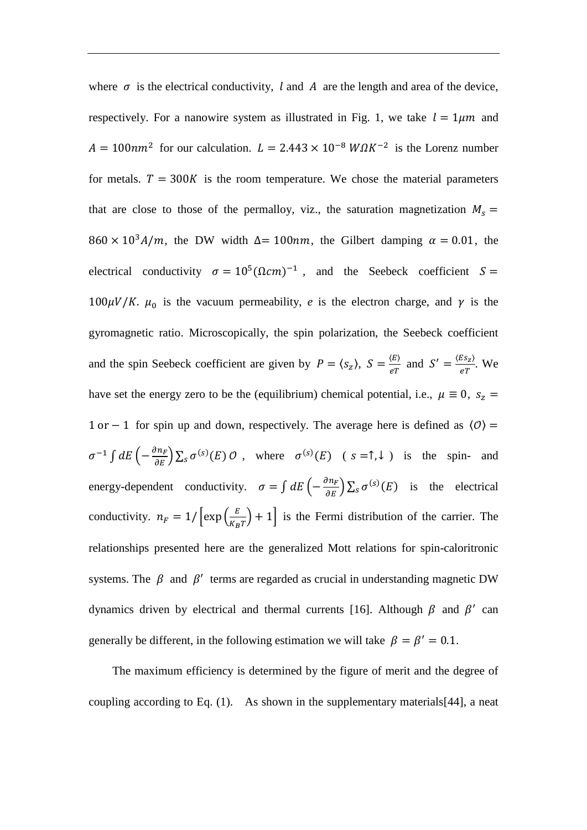where  $\sigma$  is the electrical conductivity, l and A are the length and area of the device, respectively. For a nanowire system as illustrated in Fig. 1, we take  $l = 1 \mu m$  and  $A = 100nm^2$  for our calculation.  $L = 2.443 \times 10^{-8} W \Omega K^{-2}$  is the Lorenz number for metals.  $T = 300K$  is the room temperature. We chose the material parameters that are close to those of the permalloy, viz., the saturation magnetization  $M_s =$  $860 \times 10^{3} A/m$ , the DW width  $\Delta = 100nm$ , the Gilbert damping  $\alpha = 0.01$ , the electrical conductivity  $\sigma = 10^5 (\Omega cm)^{-1}$ , and the Seebeck coefficient  $S =$  $100\mu V/K$ .  $\mu_0$  is the vacuum permeability, *e* is the electron charge, and  $\gamma$  is the gyromagnetic ratio. Microscopically, the spin polarization, the Seebeck coefficient and the spin Seebeck coefficient are given by  $P = \langle s_z \rangle$ ,  $S = \frac{\langle E \rangle}{\epsilon T}$  $\frac{\langle E \rangle}{eT}$  and  $S' = \frac{\langle E s_z \rangle}{eT}$  $\frac{c_{\mathcal{ZZ}}}{eT}$ . We have set the energy zero to be the (equilibrium) chemical potential, i.e.,  $\mu \equiv 0$ ,  $s_z =$ 1 or − 1 for spin up and down, respectively. The average here is defined as  $\langle 0 \rangle$  =  $\sigma^{-1} \int dE \left(-\frac{\partial n_F}{\partial E}\right) \sum_s \sigma^{(s)}(E) \mathcal{O}$ , where  $\sigma^{(s)}(E)$  ( $s = \uparrow, \downarrow$ ) is the spin- and energy-dependent conductivity.  $\sigma = \int dE \left( -\frac{\partial n_F}{\partial E} \right) \sum_S \sigma^{(S)}(E)$  is the electrical conductivity.  $n_F = 1/\left[\exp\left(\frac{E}{K_E}\right)\right]$  $\left(\frac{E}{K_B T}\right) + 1$  is the Fermi distribution of the carrier. The relationships presented here are the generalized Mott relations for spin-caloritronic systems. The  $\beta$  and  $\beta'$  terms are regarded as crucial in understanding magnetic DW dynamics driven by electrical and thermal currents [16]. Although  $\beta$  and  $\beta'$  can generally be different, in the following estimation we will take  $\beta = \beta' = 0.1$ .

The maximum efficiency is determined by the figure of merit and the degree of coupling according to Eq.  $(1)$ . As shown in the supplementary materials [44], a neat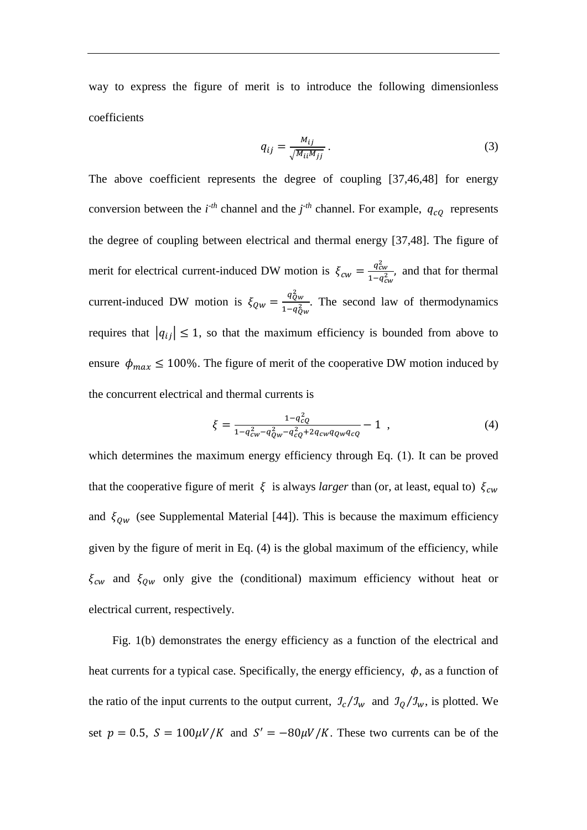way to express the figure of merit is to introduce the following dimensionless coefficients

$$
q_{ij} = \frac{M_{ij}}{\sqrt{M_{ii}M_{jj}}}.
$$
\n(3)

The above coefficient represents the degree of coupling [37,46,48] for energy conversion between the  $i^{-th}$  channel and the  $j^{-th}$  channel. For example,  $q_{cQ}$  represents the degree of coupling between electrical and thermal energy [37,48]. The figure of merit for electrical current-induced DW motion is  $\xi_{cw} = \frac{q_{cw}^2}{1 - q^2}$  $\frac{q_{cw}}{1-q_{cw}^2}$ , and that for thermal current-induced DW motion is  $\xi_{QW} = \frac{q_{QW}^2}{1 - q^2}$  $\frac{qQw}{1-q_{Qw}^2}$ . The second law of thermodynamics requires that  $|q_{ij}| \leq 1$ , so that the maximum efficiency is bounded from above to ensure  $\phi_{max} \le 100\%$ . The figure of merit of the cooperative DW motion induced by the concurrent electrical and thermal currents is

$$
\xi = \frac{1 - q_{cQ}^2}{1 - q_{cw}^2 - q_{Qw}^2 - q_{cQ}^2 + 2q_{cw}q_{Qw}q_{cq}} - 1 \quad , \tag{4}
$$

which determines the maximum energy efficiency through Eq. (1). It can be proved that the cooperative figure of merit  $\xi$  is always *larger* than (or, at least, equal to)  $\xi_{cw}$ and  $\xi_{QW}$  (see Supplemental Material [44]). This is because the maximum efficiency given by the figure of merit in Eq. (4) is the global maximum of the efficiency, while  $\xi_{cw}$  and  $\xi_{0w}$  only give the (conditional) maximum efficiency without heat or electrical current, respectively.

Fig. 1(b) demonstrates the energy efficiency as a function of the electrical and heat currents for a typical case. Specifically, the energy efficiency,  $\phi$ , as a function of the ratio of the input currents to the output current,  $\partial_c/\partial_w$  and  $\partial_{\theta}/\partial_w$ , is plotted. We set  $p = 0.5$ ,  $S = 100 \mu V/K$  and  $S' = -80 \mu V/K$ . These two currents can be of the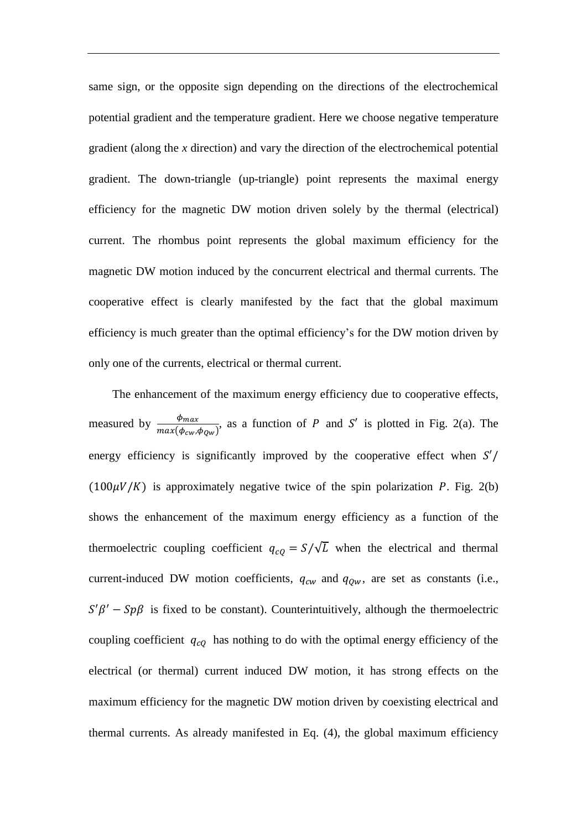same sign, or the opposite sign depending on the directions of the electrochemical potential gradient and the temperature gradient. Here we choose negative temperature gradient (along the *x* direction) and vary the direction of the electrochemical potential gradient. The down-triangle (up-triangle) point represents the maximal energy efficiency for the magnetic DW motion driven solely by the thermal (electrical) current. The rhombus point represents the global maximum efficiency for the magnetic DW motion induced by the concurrent electrical and thermal currents. The cooperative effect is clearly manifested by the fact that the global maximum efficiency is much greater than the optimal efficiency's for the DW motion driven by only one of the currents, electrical or thermal current.

The enhancement of the maximum energy efficiency due to cooperative effects, measured by  $\frac{\phi_{max}}{max(\phi_{cw}, \phi_{Qw})}$ , as a function of P and S' is plotted in Fig. 2(a). The energy efficiency is significantly improved by the cooperative effect when  $S'/$  $(100\mu V/K)$  is approximately negative twice of the spin polarization P. Fig. 2(b) shows the enhancement of the maximum energy efficiency as a function of the thermoelectric coupling coefficient  $q_{c0} = S/\sqrt{L}$  when the electrical and thermal current-induced DW motion coefficients,  $q_{cw}$  and  $q_{0w}$ , are set as constants (i.e.,  $S'\beta' - Sp\beta$  is fixed to be constant). Counterintuitively, although the thermoelectric coupling coefficient  $q_{c0}$  has nothing to do with the optimal energy efficiency of the electrical (or thermal) current induced DW motion, it has strong effects on the maximum efficiency for the magnetic DW motion driven by coexisting electrical and thermal currents. As already manifested in Eq. (4), the global maximum efficiency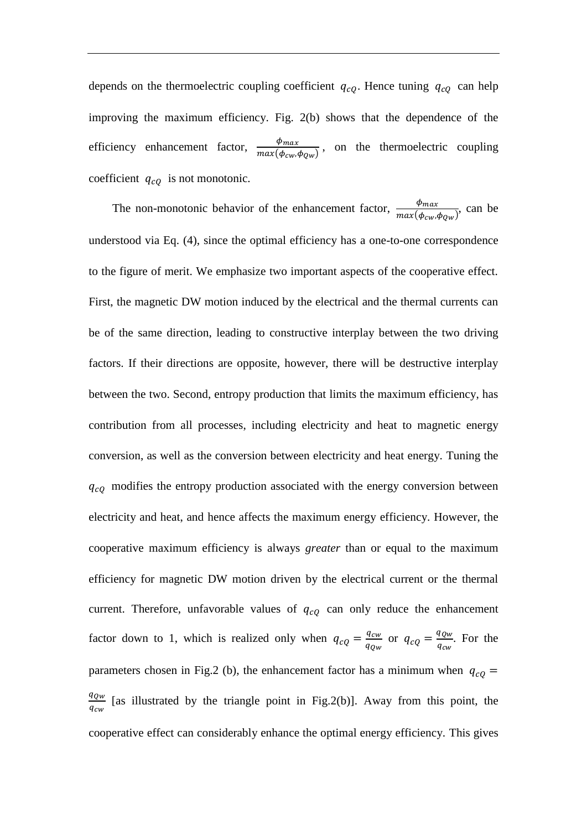depends on the thermoelectric coupling coefficient  $q_{cQ}$ . Hence tuning  $q_{cQ}$  can help improving the maximum efficiency. Fig. 2(b) shows that the dependence of the efficiency enhancement factor,  $\frac{\phi_{max}}{\sqrt{1-\phi_{max}}}}$  $\frac{\varphi_{max}}{\max(\phi_{cw}, \phi_{Qw})}$ , on the thermoelectric coupling coefficient  $q_{cQ}$  is not monotonic.

The non-monotonic behavior of the enhancement factor,  $\frac{\phi_{max}}{max(\phi_{cw}, \phi_{Qw})}$ , can be understood via Eq. (4), since the optimal efficiency has a one-to-one correspondence to the figure of merit. We emphasize two important aspects of the cooperative effect. First, the magnetic DW motion induced by the electrical and the thermal currents can be of the same direction, leading to constructive interplay between the two driving factors. If their directions are opposite, however, there will be destructive interplay between the two. Second, entropy production that limits the maximum efficiency, has contribution from all processes, including electricity and heat to magnetic energy conversion, as well as the conversion between electricity and heat energy. Tuning the  $q_{cQ}$  modifies the entropy production associated with the energy conversion between electricity and heat, and hence affects the maximum energy efficiency. However, the cooperative maximum efficiency is always *greater* than or equal to the maximum efficiency for magnetic DW motion driven by the electrical current or the thermal current. Therefore, unfavorable values of  $q_{cQ}$  can only reduce the enhancement factor down to 1, which is realized only when  $q_{cQ} = \frac{q_{cw}}{q_{cQ}}$  $\frac{q_{cw}}{q_{Qw}}$  or  $q_{cQ} = \frac{q_{Qw}}{q_{cw}}$  $\frac{q_{QW}}{q_{cw}}$ . For the parameters chosen in Fig.2 (b), the enhancement factor has a minimum when  $q_{cQ}$  =  $q_{QW}$  $\frac{q_{QW}}{q_{cw}}$  [as illustrated by the triangle point in Fig.2(b)]. Away from this point, the cooperative effect can considerably enhance the optimal energy efficiency. This gives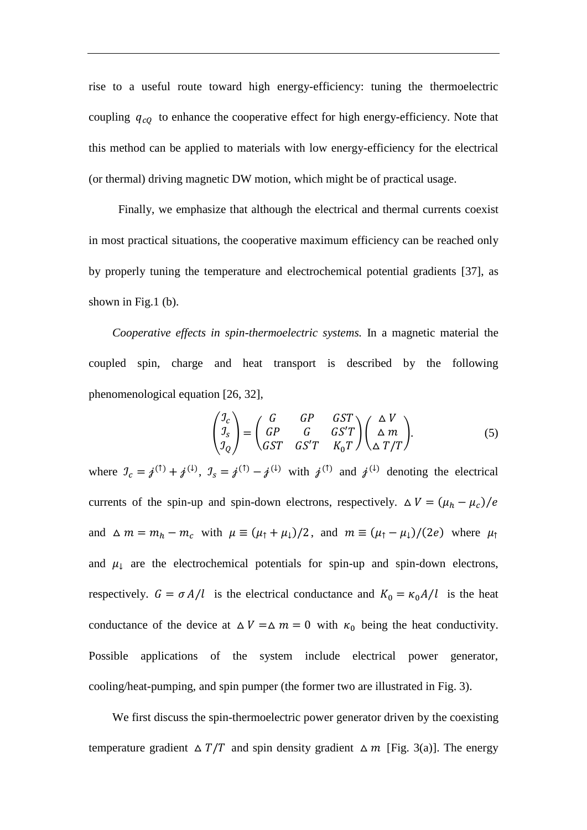rise to a useful route toward high energy-efficiency: tuning the thermoelectric coupling  $q_{c0}$  to enhance the cooperative effect for high energy-efficiency. Note that this method can be applied to materials with low energy-efficiency for the electrical (or thermal) driving magnetic DW motion, which might be of practical usage.

Finally, we emphasize that although the electrical and thermal currents coexist in most practical situations, the cooperative maximum efficiency can be reached only by properly tuning the temperature and electrochemical potential gradients [37], as shown in Fig.1 (b).

*Cooperative effects in spin-thermoelectric systems.* In a magnetic material the coupled spin, charge and heat transport is described by the following phenomenological equation [26, 32],

$$
\begin{pmatrix} \mathcal{I}_c \\ \mathcal{I}_s \\ \mathcal{I}_Q \end{pmatrix} = \begin{pmatrix} G & GP & GST \\ GP & G & GS'T \\ GST & GS'T & K_0T \end{pmatrix} \begin{pmatrix} \Delta V \\ \Delta m \\ \Delta T/T \end{pmatrix}.
$$
 (5)

where  $\mathcal{I}_c = j^{(\uparrow)} + j^{(\downarrow)}$ ,  $\mathcal{I}_s = j^{(\uparrow)} - j^{(\downarrow)}$  with  $j^{(\uparrow)}$  and  $j^{(\downarrow)}$  denoting the electrical currents of the spin-up and spin-down electrons, respectively.  $\Delta V = (\mu_h - \mu_c)/e$ and  $\Delta m = m_h - m_c$  with  $\mu \equiv (\mu_{\uparrow} + \mu_{\downarrow})/2$ , and  $m \equiv (\mu_{\uparrow} - \mu_{\downarrow})/(2e)$  where  $\mu_{\uparrow}$ and  $\mu_{\downarrow}$  are the electrochemical potentials for spin-up and spin-down electrons, respectively.  $G = \sigma A/l$  is the electrical conductance and  $K_0 = \kappa_0 A/l$  is the heat conductance of the device at  $\Delta V = \Delta m = 0$  with  $\kappa_0$  being the heat conductivity. Possible applications of the system include electrical power generator, cooling/heat-pumping, and spin pumper (the former two are illustrated in Fig. 3).

We first discuss the spin-thermoelectric power generator driven by the coexisting temperature gradient  $\Delta T/T$  and spin density gradient  $\Delta m$  [Fig. 3(a)]. The energy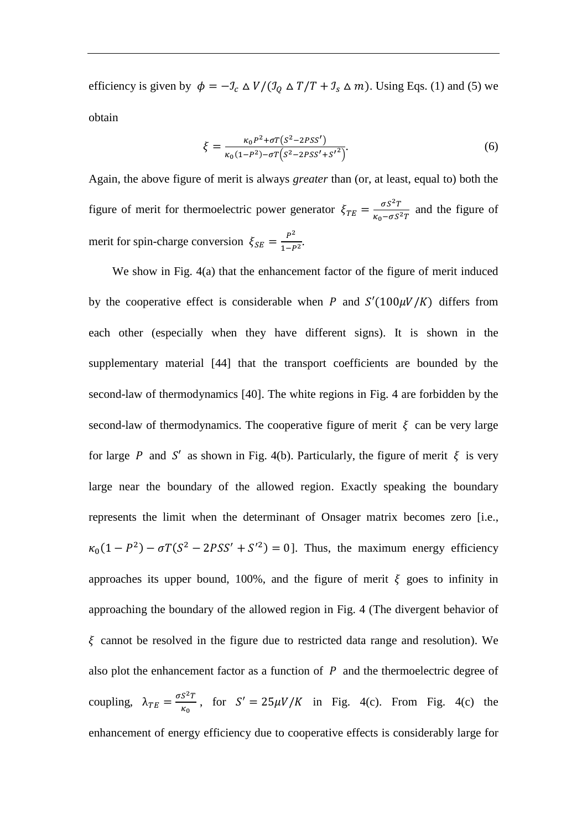efficiency is given by  $\phi = -\mathcal{I}_c \Delta V / (\mathcal{I}_Q \Delta T / T + \mathcal{I}_s \Delta m)$ . Using Eqs. (1) and (5) we obtain

$$
\xi = \frac{\kappa_0 P^2 + \sigma T (S^2 - 2PSS')}{\kappa_0 (1 - P^2) - \sigma T (S^2 - 2PSS' + S'^2)}.
$$
\n(6)

Again, the above figure of merit is always *greater* than (or, at least, equal to) both the figure of merit for thermoelectric power generator  $\xi_{TE} = \frac{\sigma S^2 T}{K_0 - \sigma S^2}$  $\frac{\omega s}{\kappa_0 - \sigma s^2 T}$  and the figure of merit for spin-charge conversion  $\xi_{SE} = \frac{P^2}{1 - E}$  $rac{r}{1-P^2}$ .

We show in Fig. 4(a) that the enhancement factor of the figure of merit induced by the cooperative effect is considerable when P and  $S'(100\mu V/K)$  differs from each other (especially when they have different signs). It is shown in the supplementary material [44] that the transport coefficients are bounded by the second-law of thermodynamics [40]. The white regions in Fig. 4 are forbidden by the second-law of thermodynamics. The cooperative figure of merit  $\xi$  can be very large for large P and S' as shown in Fig. 4(b). Particularly, the figure of merit  $\xi$  is very large near the boundary of the allowed region. Exactly speaking the boundary represents the limit when the determinant of Onsager matrix becomes zero [i.e.,  $\kappa_0(1 - P^2) - \sigma T(S^2 - 2PSS' + S'^2) = 0$ . Thus, the maximum energy efficiency approaches its upper bound, 100%, and the figure of merit  $\xi$  goes to infinity in approaching the boundary of the allowed region in Fig. 4 (The divergent behavior of  $\xi$  cannot be resolved in the figure due to restricted data range and resolution). We also plot the enhancement factor as a function of  $P$  and the thermoelectric degree of coupling,  $\lambda_{TE} = \frac{\sigma S^2 T}{K}$  $\frac{S^2T}{\kappa_0}$ , for  $S' = 25\mu V/K$  in Fig. 4(c). From Fig. 4(c) the enhancement of energy efficiency due to cooperative effects is considerably large for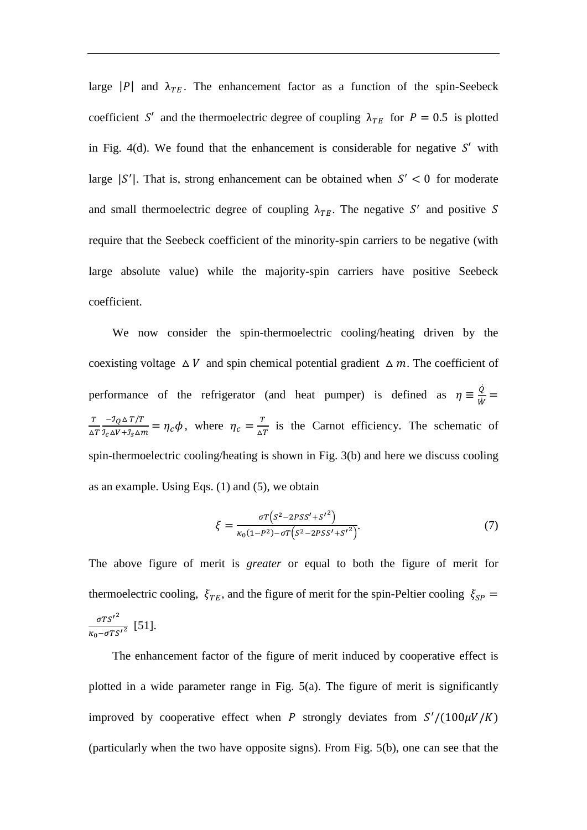large |P| and  $\lambda_{TE}$ . The enhancement factor as a function of the spin-Seebeck coefficient S' and the thermoelectric degree of coupling  $\lambda_{TE}$  for  $P = 0.5$  is plotted in Fig. 4(d). We found that the enhancement is considerable for negative  $S'$  with large  $|S'|$ . That is, strong enhancement can be obtained when  $S' < 0$  for moderate and small thermoelectric degree of coupling  $\lambda_{TE}$ . The negative S' and positive S require that the Seebeck coefficient of the minority-spin carriers to be negative (with large absolute value) while the majority-spin carriers have positive Seebeck coefficient.

We now consider the spin-thermoelectric cooling/heating driven by the coexisting voltage  $\Delta V$  and spin chemical potential gradient  $\Delta m$ . The coefficient of performance of the refrigerator (and heat pumper) is defined as  $\eta \equiv \frac{\dot{Q}}{v}$  $\frac{Q}{\dot{W}} =$ T  $\triangle T$  $-\mathcal{I}_Q \triangle T/T$  $\frac{-\mathcal{I}_Q \Delta T/T}{\mathcal{I}_C \Delta V + \mathcal{I}_S \Delta m} = \eta_c \phi$ , where  $\eta_c = \frac{T}{\Delta T}$  $\frac{1}{\Delta T}$  is the Carnot efficiency. The schematic of spin-thermoelectric cooling/heating is shown in Fig. 3(b) and here we discuss cooling as an example. Using Eqs. (1) and (5), we obtain

$$
\xi = \frac{\sigma T (s^2 - 2PSS' + S'^2)}{\kappa_0 (1 - P^2) - \sigma T (s^2 - 2PSS' + S'^2)}.
$$
\n(7)

The above figure of merit is *greater* or equal to both the figure of merit for thermoelectric cooling,  $\xi_{TE}$ , and the figure of merit for the spin-Peltier cooling  $\xi_{SP}$  =  $\sigma$ TS'<sup>2</sup>  $\frac{015}{\kappa_0 - \sigma T S'^2}$  [51].

The enhancement factor of the figure of merit induced by cooperative effect is plotted in a wide parameter range in Fig. 5(a). The figure of merit is significantly improved by cooperative effect when P strongly deviates from  $S'/(100\mu V/K)$ (particularly when the two have opposite signs). From Fig. 5(b), one can see that the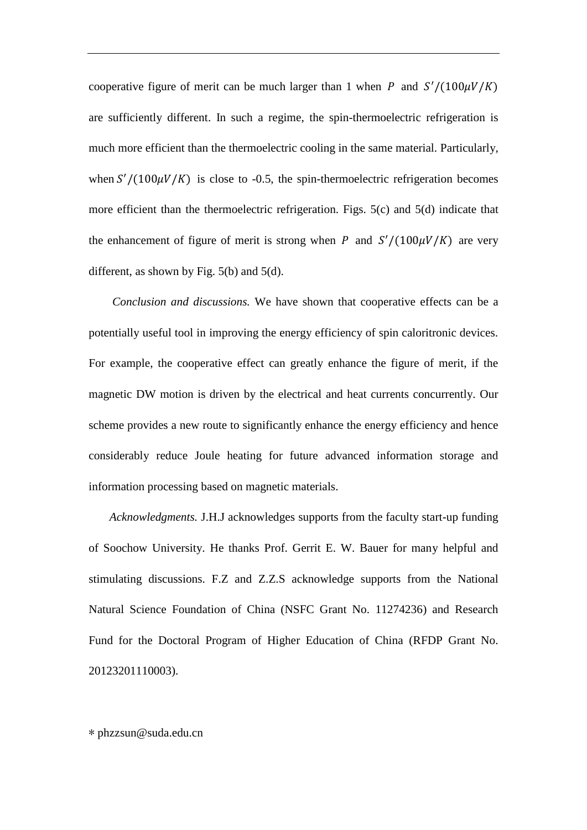cooperative figure of merit can be much larger than 1 when P and  $S'/(100\mu V/K)$ are sufficiently different. In such a regime, the spin-thermoelectric refrigeration is much more efficient than the thermoelectric cooling in the same material. Particularly, when  $S'/(100\mu V/K)$  is close to -0.5, the spin-thermoelectric refrigeration becomes more efficient than the thermoelectric refrigeration. Figs. 5(c) and 5(d) indicate that the enhancement of figure of merit is strong when P and  $S'/(100\mu V/K)$  are very different, as shown by Fig. 5(b) and 5(d).

*Conclusion and discussions.* We have shown that cooperative effects can be a potentially useful tool in improving the energy efficiency of spin caloritronic devices. For example, the cooperative effect can greatly enhance the figure of merit, if the magnetic DW motion is driven by the electrical and heat currents concurrently. Our scheme provides a new route to significantly enhance the energy efficiency and hence considerably reduce Joule heating for future advanced information storage and information processing based on magnetic materials.

*Acknowledgments.* J.H.J acknowledges supports from the faculty start-up funding of Soochow University. He thanks Prof. Gerrit E. W. Bauer for many helpful and stimulating discussions. F.Z and Z.Z.S acknowledge supports from the National Natural Science Foundation of China (NSFC Grant No. 11274236) and Research Fund for the Doctoral Program of Higher Education of China (RFDP Grant No. 20123201110003).

∗ phzzsun@suda.edu.cn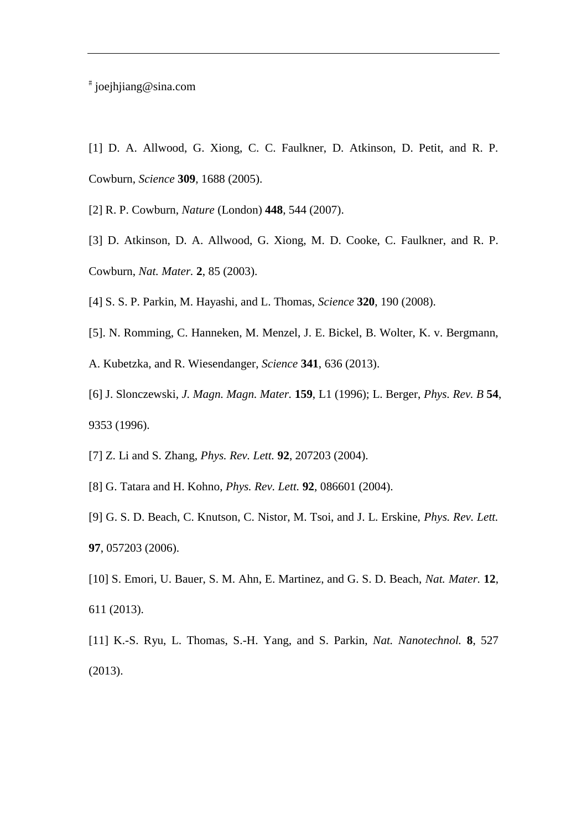# joejhjiang@sina.com

- [1] D. A. Allwood, G. Xiong, C. C. Faulkner, D. Atkinson, D. Petit, and R. P. Cowburn, *Science* **309**, 1688 (2005).
- [2] R. P. Cowburn, *Nature* (London) **448**, 544 (2007).
- [3] D. Atkinson, D. A. Allwood, G. Xiong, M. D. Cooke, C. Faulkner, and R. P. Cowburn, *Nat. Mater.* **2**, 85 (2003).
- [4] S. S. P. Parkin, M. Hayashi, and L. Thomas, *Science* **320**, 190 (2008).
- [5]. N. Romming, C. Hanneken, M. Menzel, J. E. Bickel, B. Wolter, K. v. Bergmann,
- A. Kubetzka, and R. Wiesendanger, *Science* **341**, 636 (2013).
- [6] J. Slonczewski, *J. Magn. Magn. Mater.* **159**, L1 (1996); L. Berger, *Phys. Rev. B* **54**, 9353 (1996).
- [7] Z. Li and S. Zhang, *Phys. Rev. Lett.* **92**, 207203 (2004).
- [8] G. Tatara and H. Kohno, *Phys. Rev. Lett.* **92**, 086601 (2004).
- [9] G. S. D. Beach, C. Knutson, C. Nistor, M. Tsoi, and J. L. Erskine, *Phys. Rev. Lett.* **97**, 057203 (2006).
- [10] S. Emori, U. Bauer, S. M. Ahn, E. Martinez, and G. S. D. Beach, *Nat. Mater.* **12**, 611 (2013).
- [11] K.-S. Ryu, L. Thomas, S.-H. Yang, and S. Parkin, *Nat. Nanotechnol.* **8**, 527 (2013).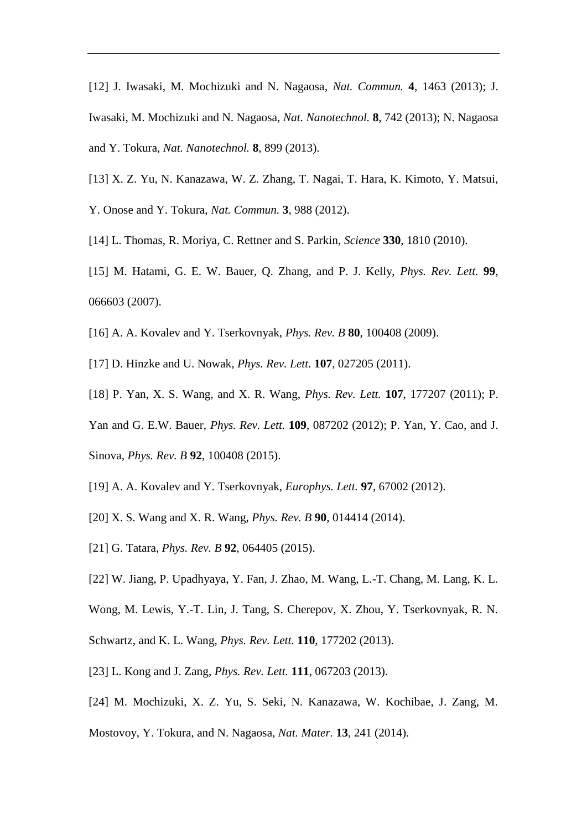[12] J. Iwasaki, M. Mochizuki and N. Nagaosa, *Nat. Commun.* **4**, 1463 (2013); J. Iwasaki, M. Mochizuki and N. Nagaosa, *Nat. Nanotechnol.* **8**, 742 (2013); N. Nagaosa and Y. Tokura, *Nat. Nanotechnol.* **8**, 899 (2013).

- [13] X. Z. Yu, N. Kanazawa, W. Z. Zhang, T. Nagai, T. Hara, K. Kimoto, Y. Matsui, Y. Onose and Y. Tokura, *Nat. Commun.* **3**, 988 (2012).
- [14] L. Thomas, R. Moriya, C. Rettner and S. Parkin, *Science* **330**, 1810 (2010).
- [15] M. Hatami, G. E. W. Bauer, Q. Zhang, and P. J. Kelly, *Phys. Rev. Lett.* **99**, 066603 (2007).
- [16] A. A. Kovalev and Y. Tserkovnyak, *Phys. Rev. B* **80**, 100408 (2009).
- [17] D. Hinzke and U. Nowak, *Phys. Rev. Lett.* **107**, 027205 (2011).
- [18] P. Yan, X. S. Wang, and X. R. Wang, *Phys. Rev. Lett.* **107**, 177207 (2011); P.
- Yan and G. E.W. Bauer, *Phys. Rev. Lett.* **109**, 087202 (2012); P. Yan, Y. Cao, and J.
- Sinova, *Phys. Rev. B* **92**, 100408 (2015).
- [19] A. A. Kovalev and Y. Tserkovnyak, *Europhys. Lett.* **97**, 67002 (2012).
- [20] X. S. Wang and X. R. Wang, *Phys. Rev. B* **90**, 014414 (2014).
- [21] G. Tatara, *Phys. Rev. B* **92**, 064405 (2015).
- [22] W. Jiang, P. Upadhyaya, Y. Fan, J. Zhao, M. Wang, L.-T. Chang, M. Lang, K. L.
- Wong, M. Lewis, Y.-T. Lin, J. Tang, S. Cherepov, X. Zhou, Y. Tserkovnyak, R. N.
- Schwartz, and K. L. Wang, *Phys. Rev. Lett.* **110**, 177202 (2013).
- [23] L. Kong and J. Zang, *Phys. Rev. Lett.* **111**, 067203 (2013).
- [24] M. Mochizuki, X. Z. Yu, S. Seki, N. Kanazawa, W. Kochibae, J. Zang, M.
- Mostovoy, Y. Tokura, and N. Nagaosa, *Nat. Mater.* **13**, 241 (2014).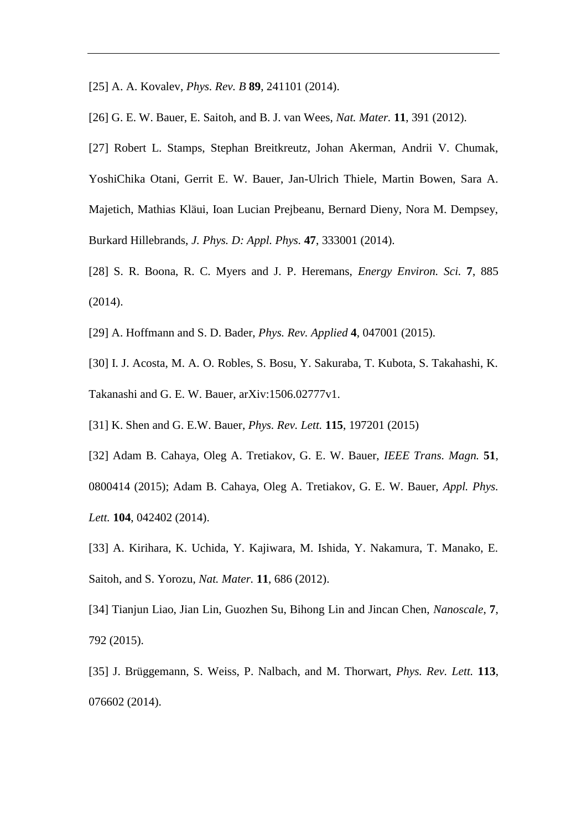- [25] A. A. Kovalev, *Phys. Rev. B* **89**, 241101 (2014).
- [26] G. E. W. Bauer, E. Saitoh, and B. J. van Wees, *Nat. Mater.* **11**, 391 (2012).
- [27] Robert L. Stamps, Stephan Breitkreutz, Johan Akerman, Andrii V. Chumak, YoshiChika Otani, Gerrit E. W. Bauer, Jan-Ulrich Thiele, Martin Bowen, Sara A. Majetich, Mathias Kläui, Ioan Lucian Prejbeanu, Bernard Dieny, Nora M. Dempsey, Burkard Hillebrands, *J. Phys. D: Appl. Phys.* **47**, 333001 (2014).
- [28] S. R. Boona, R. C. Myers and J. P. Heremans, *Energy Environ. Sci.* **7**, 885 (2014).
- [29] A. Hoffmann and S. D. Bader, *Phys. Rev. Applied* **4**, 047001 (2015).
- [30] I. J. Acosta, M. A. O. Robles, S. Bosu, Y. Sakuraba, T. Kubota, S. Takahashi, K. Takanashi and G. E. W. Bauer, arXiv:1506.02777v1.
- [31] K. Shen and G. E.W. Bauer, *Phys. Rev. Lett.* **115**, 197201 (2015)
- [32] Adam B. Cahaya, Oleg A. Tretiakov, G. E. W. Bauer, *IEEE Trans. Magn.* **51**, 0800414 (2015); Adam B. Cahaya, Oleg A. Tretiakov, G. E. W. Bauer, *Appl. Phys. Lett.* **104**, 042402 (2014).
- [33] A. Kirihara, K. Uchida, Y. Kajiwara, M. Ishida, Y. Nakamura, T. Manako, E. Saitoh, and S. Yorozu, *Nat. Mater.* **11**, 686 (2012).
- [34] Tianjun Liao, Jian Lin, Guozhen Su, Bihong Lin and Jincan Chen, *Nanoscale*, **7**, 792 (2015).
- [35] J. Brüggemann, S. Weiss, P. Nalbach, and M. Thorwart, *Phys. Rev. Lett.* **113**, 076602 (2014).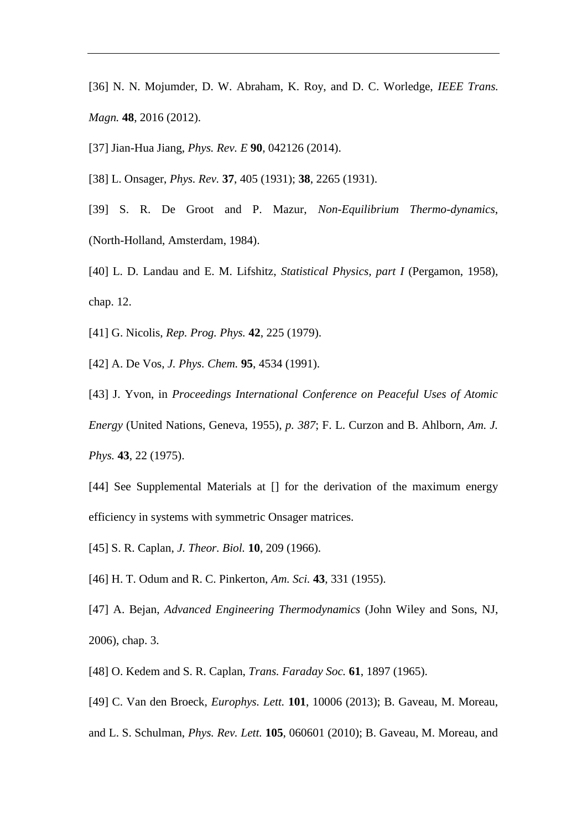- [36] N. N. Mojumder, D. W. Abraham, K. Roy, and D. C. Worledge, *IEEE Trans. Magn.* **48**, 2016 (2012).
- [37] Jian-Hua Jiang, *Phys. Rev. E* **90**, 042126 (2014).

[38] L. Onsager, *Phys. Rev.* **37**, 405 (1931); **38**, 2265 (1931).

- [39] S. R. De Groot and P. Mazur, *Non-Equilibrium Thermo-dynamics*, (North-Holland, Amsterdam, 1984).
- [40] L. D. Landau and E. M. Lifshitz, *Statistical Physics, part I* (Pergamon, 1958), chap. 12.
- [41] G. Nicolis, *Rep. Prog. Phys.* **42**, 225 (1979).
- [42] A. De Vos, *J. Phys. Chem.* **95**, 4534 (1991).
- [43] J. Yvon, in *Proceedings International Conference on Peaceful Uses of Atomic Energy* (United Nations, Geneva, 1955), *p. 387*; F. L. Curzon and B. Ahlborn, *Am. J. Phys.* **43**, 22 (1975).
- [44] See Supplemental Materials at [] for the derivation of the maximum energy efficiency in systems with symmetric Onsager matrices.
- [45] S. R. Caplan, *J. Theor. Biol.* **10**, 209 (1966).
- [46] H. T. Odum and R. C. Pinkerton, *Am. Sci.* **43**, 331 (1955).
- [47] A. Bejan, *Advanced Engineering Thermodynamics* (John Wiley and Sons, NJ, 2006), chap. 3.
- [48] O. Kedem and S. R. Caplan, *Trans. Faraday Soc.* **61**, 1897 (1965).
- [49] C. Van den Broeck, *Europhys. Lett.* **101**, 10006 (2013); B. Gaveau, M. Moreau,
- and L. S. Schulman, *Phys. Rev. Lett.* **105**, 060601 (2010); B. Gaveau, M. Moreau, and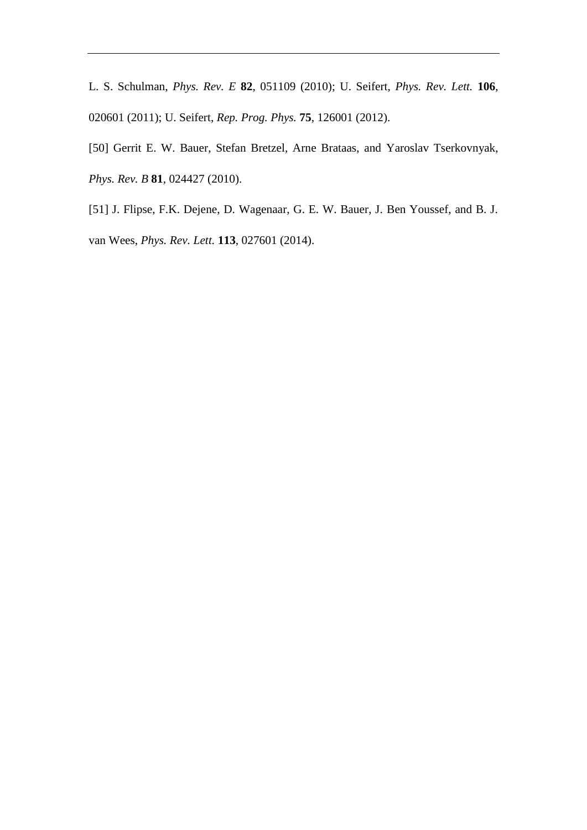L. S. Schulman, *Phys. Rev. E* **82**, 051109 (2010); U. Seifert, *Phys. Rev. Lett.* **106**, 020601 (2011); U. Seifert, *Rep. Prog. Phys.* **75**, 126001 (2012).

[50] Gerrit E. W. Bauer, Stefan Bretzel, Arne Brataas, and Yaroslav Tserkovnyak, *Phys. Rev. B* **81**, 024427 (2010).

[51] J. Flipse, F.K. Dejene, D. Wagenaar, G. E. W. Bauer, J. Ben Youssef, and B. J. van Wees, *Phys. Rev. Lett.* **113**, 027601 (2014).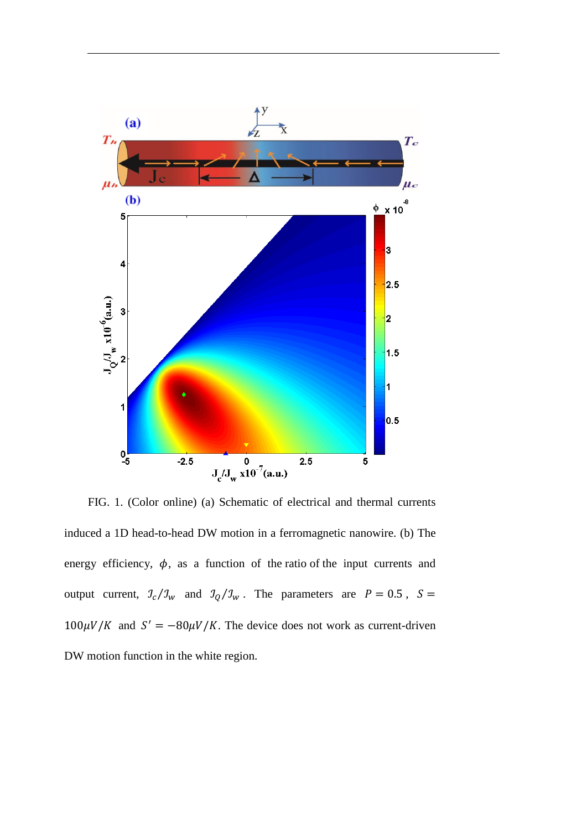

FIG. 1. (Color online) (a) Schematic of electrical and thermal currents induced a 1D head-to-head DW motion in a ferromagnetic nanowire. (b) The energy efficiency,  $\phi$ , as a function of the ratio of the input currents and output current,  $\frac{\partial}{\partial y} / \frac{\partial}{\partial w}$  and  $\frac{\partial}{\partial z} / \frac{\partial}{\partial w}$ . The parameters are  $P = 0.5$ ,  $S =$  $100 \mu V/K$  and  $S' = -80 \mu V/K$ . The device does not work as current-driven DW motion function in the white region.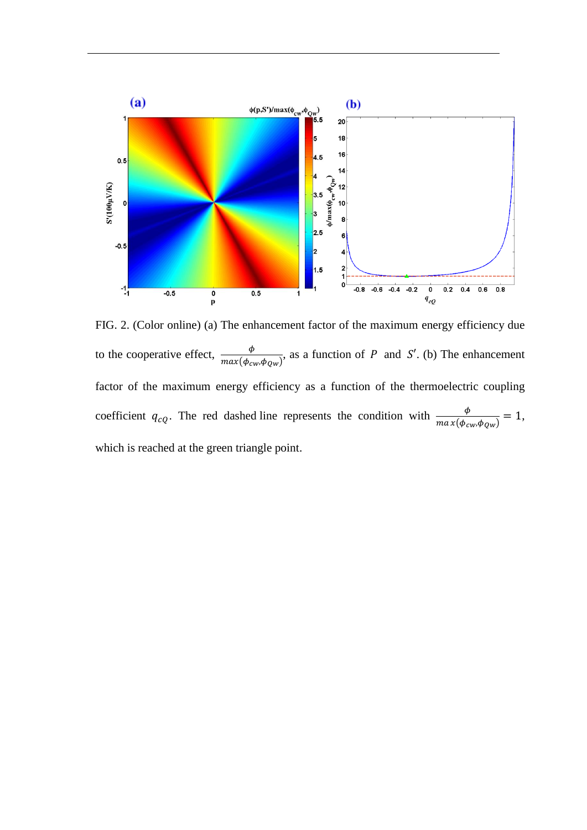

FIG. 2. (Color online) (a) The enhancement factor of the maximum energy efficiency due to the cooperative effect,  $\frac{\phi}{max(\phi_{cw}, \phi_{Qw})}$ , as a function of P and S'. (b) The enhancement factor of the maximum energy efficiency as a function of the thermoelectric coupling coefficient  $q_{cQ}$ . The red dashed line represents the condition with  $\frac{\phi}{\max(\phi_{cw}, \phi_{Qw})} = 1$ , which is reached at the green triangle point.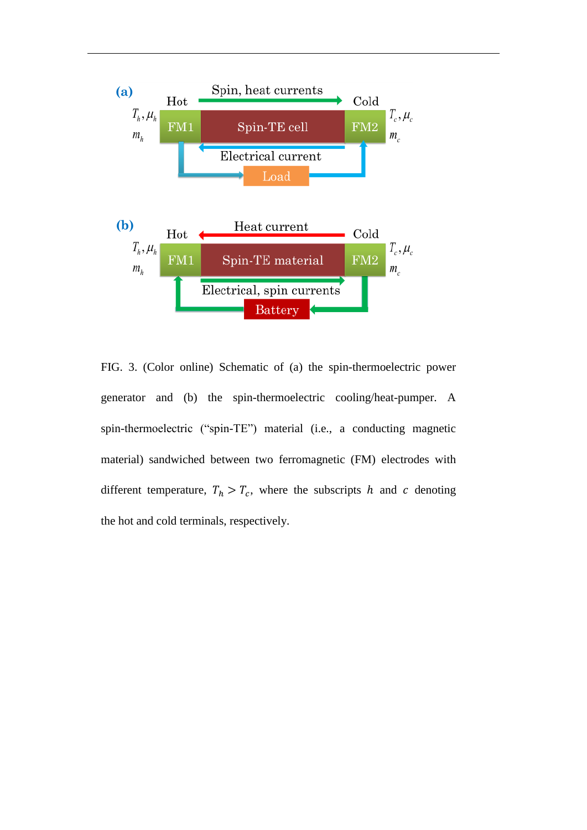

FIG. 3. (Color online) Schematic of (a) the spin-thermoelectric power generator and (b) the spin-thermoelectric cooling/heat-pumper. A spin-thermoelectric ("spin-TE") material (i.e., a conducting magnetic material) sandwiched between two ferromagnetic (FM) electrodes with different temperature,  $T_h > T_c$ , where the subscripts h and c denoting the hot and cold terminals, respectively.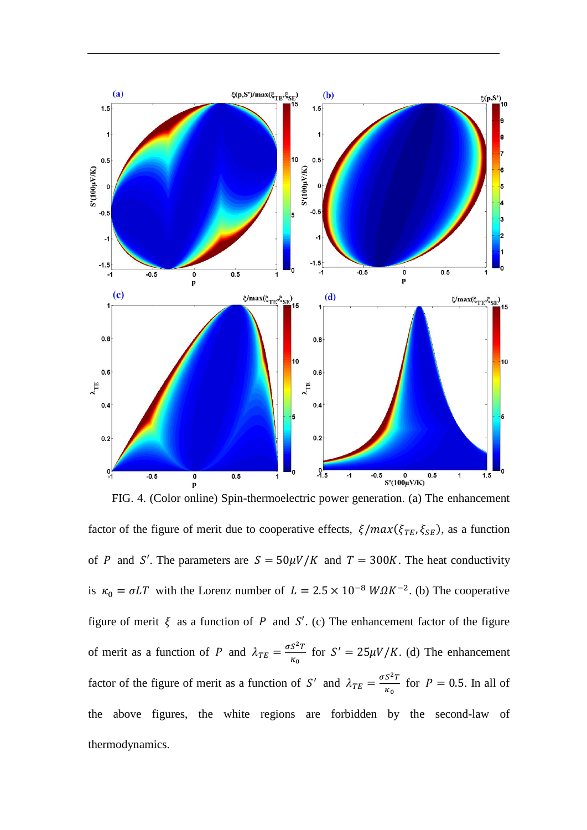

FIG. 4. (Color online) Spin-thermoelectric power generation. (a) The enhancement factor of the figure of merit due to cooperative effects,  $\xi / max(\xi_{TE}, \xi_{SE})$ , as a function of P and S'. The parameters are  $S = 50 \mu V/K$  and  $T = 300K$ . The heat conductivity is  $\kappa_0 = \sigma LT$  with the Lorenz number of  $L = 2.5 \times 10^{-8} W \Omega K^{-2}$ . (b) The cooperative figure of merit  $\xi$  as a function of P and S'. (c) The enhancement factor of the figure of merit as a function of P and  $\lambda_{TE} = \frac{\sigma S^2 T}{r}$  $\frac{S^{2}I}{\kappa_{0}}$  for  $S' = 25\mu V/K$ . (d) The enhancement factor of the figure of merit as a function of S' and  $\lambda_{TE} = \frac{\sigma S^2 T}{K}$  $\frac{S}{\kappa_0}$  for  $P = 0.5$ . In all of the above figures, the white regions are forbidden by the second-law of thermodynamics.